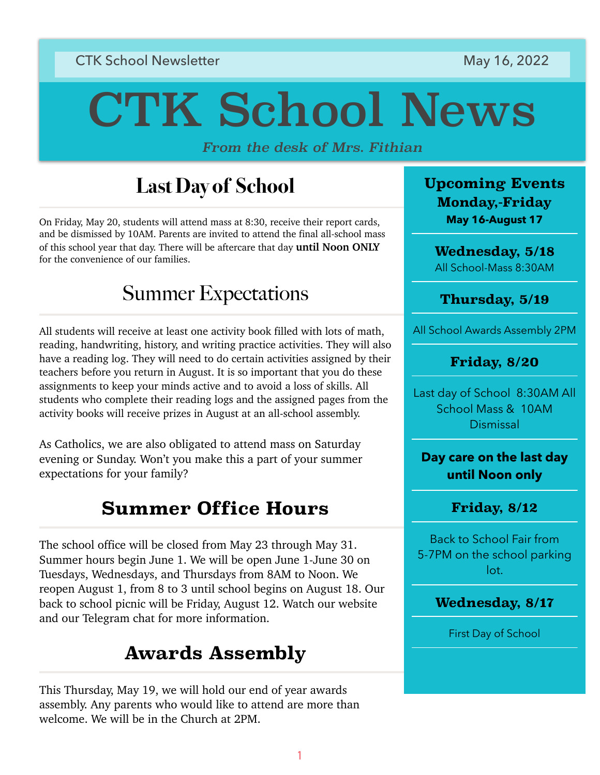### **CTK School Newsletter May 16, 2022**

# CTK School News

*From the desk of Mrs. Fithian*

## **Last Day of School**

On Friday, May 20, students will attend mass at 8:30, receive their report cards, and be dismissed by 10AM. Parents are invited to attend the final all-school mass of this school year that day. There will be aftercare that day **until Noon ONLY** for the convenience of our families.

## Summer Expectations

All students will receive at least one activity book filled with lots of math, reading, handwriting, history, and writing practice activities. They will also have a reading log. They will need to do certain activities assigned by their teachers before you return in August. It is so important that you do these assignments to keep your minds active and to avoid a loss of skills. All students who complete their reading logs and the assigned pages from the activity books will receive prizes in August at an all-school assembly.

As Catholics, we are also obligated to attend mass on Saturday evening or Sunday. Won't you make this a part of your summer expectations for your family?

## **Summer Office Hours**

The school office will be closed from May 23 through May 31. Summer hours begin June 1. We will be open June 1-June 30 on Tuesdays, Wednesdays, and Thursdays from 8AM to Noon. We reopen August 1, from 8 to 3 until school begins on August 18. Our back to school picnic will be Friday, August 12. Watch our website and our Telegram chat for more information.

## **Awards Assembly**

This Thursday, May 19, we will hold our end of year awards assembly. Any parents who would like to attend are more than welcome. We will be in the Church at 2PM.

**Upcoming Events Monday,-Friday May 16-August 17** 

**Wednesday, 5/18** All School-Mass 8:30AM

**Thursday, 5/19**

All School Awards Assembly 2PM

#### **Friday, 8/20**

Last day of School 8:30AM All School Mass & 10AM Dismissal

**Day care on the last day until Noon only**

#### **Friday, 8/12**

Back to School Fair from 5-7PM on the school parking lot.

#### **Wednesday, 8/17**

First Day of School